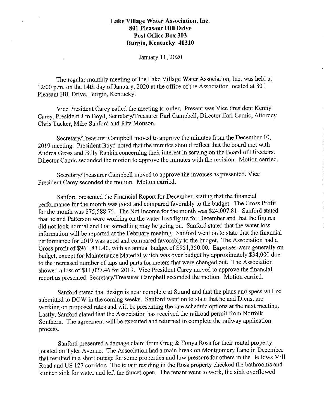$\mathcal{L}$ 

J.

January 11, 2020

The regular monthly meeting of the Lake Village Water Association, Inc. was held at 12:00 p.m. on the 14th day of January, 2020 at the office of the Association located at 801 Pleasant Hill Drive, Burgin, Kentucky.

Vice President Carey called the meeting to order. Present was Vice President Kenny Carey, President Jim Boyd, Secretary/Treasurer Earl Campbell, Director Earl Camic, Attorney Chris Tucker, Mike Sanford and Rita Monson.

Secretary/Treasurer Campbell moved to approve the minutes from the December 10, 2019 meeting. President Boyd noted that the minutes should reflect that the board met with Andrea Gross and Billy Rankin concerning their interest in serving on the Board of Directors. Director Camic seconded the motion to approve the minutes with the revision. Motion carried.

Secretary/Treasurer Campbell moved to approve the invoices as presented. Vice President Carey seconded the motion. Motion carried.

Sanford presented the Financial Report for December, stating that the financial performance for the month was good and compared favorably to the budget. The Gross Profit for the month was \$75,588.75. The Net Income for the month was \$24,007.81. Sanford stated that he and Patterson were working on the water loss figure for December and that the figures did not look normal and that something may be going on. Sanford stated that the water loss information will be reported at the February meeting. Sanford went on to state that the financial performance for 2019 was good and compared favorably to the budget. The Association had a Gross profit of \$961,831.40, with an annual budget of \$951,350.00. Expenses were generally on budget, except for Maintenance Material which was over budget by approximately \$34,000 due to the increased number of taps and parts for meters that were changed out. The Association showed a loss of\$11,027.46 for 2019. Vice President Carey moved to approve the financial report as presented. Secretary/Treasurer Campbell seconded the motion. Motion carried.

Sanford stated that design is near complete at Strand and that the plans and specs will be submitted to DOW in the coming weeks. Sanford went on to state that he and Dienst are working on proposed rates and will be presenting the rate schedule options at the next meeting. Lastly, Sanford stated that the Association has received the railroad permit from Norfolk Southern. The agreement will be executed and returned to complete the railway application process.

Sanford presented a damage claim from Greg & Tonya Ross for their rental property located on Tyler Avenue. The Association had a main break on Montgomery Lane in December that resulted in a short outage for some properties and low pressure for others in the Bellows Mill Road and US 127 corridor. The tenant residing in the Ross property checked the bathrooms and kitchen sink for water and left the faucet open. The tenant went to work, the sink overflowed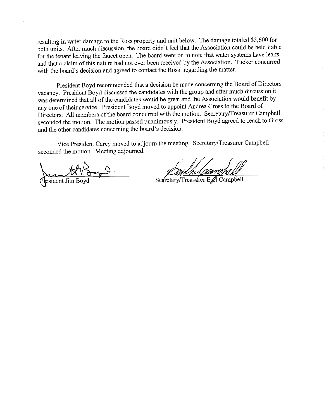resulting in water damage to the Ross propetty and unit below. The damage totaled \$3,600 for both units. After much discussion, the board didn't feel that the Association could be held liable for the tenant leaving the faucet open. The board went on to note that water systems have leaks and that a claim of this nature had not ever been received by the Association. Tucker concurred with the board's decision and agreed to contact the Ross' regarding the matter.

President Boyd recommended that a decision be made concerning the Board of Directors vacancy. President Boyd discussed the candidates with the group and after much discussion it was determined that all of the candidates would be great and the Association would benefit by any one of their service. President Boyd moved to appoint Andrea Gross to the Board of Directors. All members of the board concurred with the motion. Secretary/Treasurer Campbell seconded the motion. The motion passed unanimously. President Boyd agreed to reach to Gross and the other candidates concerning the board's decision.

Vice President Carey moved to adjourn the meeting. Secretary/Treasurer Campbell seconded the motion. Meeting adjourned.

resident Jim Boy

Sedretary/Treasurer Egyl Campbell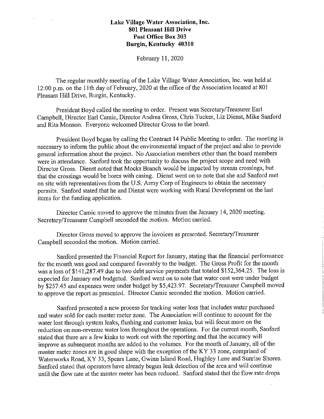$\mathcal{L}_{\mathcal{A}}$ 

February 11, 2020

The regular monthly meeting of the Lake Village Water Association, Inc. was held at 12:00 p.m. on the I Ith day of February, 2020 at the office of the Association located at 801 Pleasant Hill Drive, Burgin, Kentucky.

President Boyd called the meeting to order. Present was Secretary/Treasurer Earl Campbell, Director Earl Camic, Director Andrea Gross, Chris Tucker, Liz Dienst, Mike Sanford and Rita Monson. Everyone welcomed Director Gross to the board.

President Boyd began by calling the Contract 14 Public Meeting to order. The meeting is necessary to inform the public about the enviromnental impact of the project and also to provide general information about the project. No Association members other than the board members were in attendance. Sanford took the opportunity to discuss the project scope and need with Director Gross. Dienst noted that Mocks Branch would be impacted by stream crossings, but that the crossings would be bores with casing. Dienst went on to note that she and Sanford met on site with representatives from the U.S. Army Corp of Engineers to obtain the necessary permits. Sanford stated that he and Dienst were working with Rural Development on the last items for the funding application.

Director Camic moved to approve the minutes from the January 14, 2020 meeting. Secretary/Treasurer Campbell seconded the motion. Motion carried.

Director Gross moved to approve the invoices as presented. Secretary/Treasurer Campbell seconded the motion. Motion carried.

Sanford presented the Financial Report for January, stating that the financial performance for the month was good and compared favorably to the budget. The Gross Profit for the month was a loss of \$141,287.49 due to two debt service payments that totaled \$152,364.25. The loss is expected for January and budgeted. Sanford went on to note that water cost were under budget by \$257.45 and expenses were under budget by \$5,423.97. Secretary/Treasurer Campbell moved to approve the report as presented. Director Camic seconded the motion. Motion carried.

Sanford presented a new process for tracking water loss that includes water purchased and water sold for each master meter zone. The Association will continue to account for the water lost through system leaks, flushing and customer leaks, but will focus more on the reduction on non-revenue water loss throughout the operations. For the current month, Sanford stated that there are a few kinks to work out with the reporting and that the accuracy will improve as subsequent months are added to the volumes. For the month of January, all of the master meter zones are in good shape with the exception of the KY 33 zone, comprised of Waterworks Road, KY 33, Spears Lane, Gwinn Island Road, Hughley Lane and Sunrise Shores. Sanford stated that operators have already begun leak detection of the area and will continue until the flow rate at the master meter has been reduced. Sanford stated that the flow rate drops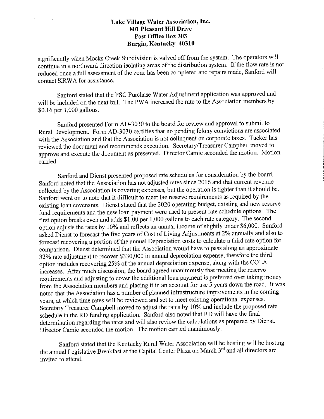$\lambda$ 

 $\sim$   $\sim$ 

significantly when Mocks Creek Subdivision is valved off from the system. The operators will continue in a northward direction isolating areas of the distribution system. If the flow rate is not reduced once a full assessment of the zone has been completed and repairs made, Sanford will contact KR WA for assistance.

Sanford stated that the PSC Purchase Water Adjustment application was approved and will be included on the next bill. The PWA increased the rate to the Association members by \$0.16 per 1,000 gallons.

Sanford presented Form AD-3030 to the board for review and approval to submit to Rural Development. Form AD-3030 certifies that no pending felony convictions are associated with the Association and that the Association is not delinquent on corporate taxes. Tucker has reviewed the document and recommends execution. Secretary/Treasurer Campbell moved to approve and execute the document as presented. Director Camic seconded the motion. Motion carried.

Sanford and Dienst presented proposed rate schedules for consideration by the board. Sanford noted that the Association has not adjusted rates since 2016 and that current revenue collected by the Association is covering expenses, but the operation is tighter than it should be. Sanford went on to note that it difficult to meet the reserve requirements as required by the existing loan covenants. Dienst stated that the 2020 operating budget, existing and new reserve fund requirements and the new loan payment were used to present rate schedule options. The first option breaks even and adds \$1.00 per 1,000 gallons to each rate category. The second option adjusts the rates by 10% and reflects an annual income of slightly under \$6,000. Sanford asked Dienst to forecast the five years of Cost of Living Adjustments at 2% annually and also to forecast recovering a portion of the annual Depreciation costs to calculate a third rate option for comparison. Dienst determined that the Association would have to pass along an approximate 32% rate adjustment to recover \$330,000 in ammal depreciation expense, therefore the third option includes recovering 25% of the annual depreciation expense, along with the COLA increases. After much discussion, the board agreed unanimously that meeting the reserve requirements and adjusting to cover the additional loan payment is preferred over taking money from the Association members and placing it in an account for use 5 years down the road. It was noted that the Association has a number of planned infrastructure improvements in the coming years, at which time rates will be reviewed and set to meet existing operational expenses. Secretary Treasurer Campbell moved to adjust the rates by 10% and include the proposed rate schedule in the RD funding application. Sanford also noted that RD will have the final determination regarding the rates and will also review the calculations as prepared by Dienst. Director Camic seconded the motion. The motion carried unanimously.

Sanford stated that the Kentucky Rural Water Association will be hosting will be hosting the annual Legislative Breakfast at the Capital Center Plaza on March 3'd and all directors are invited to attend.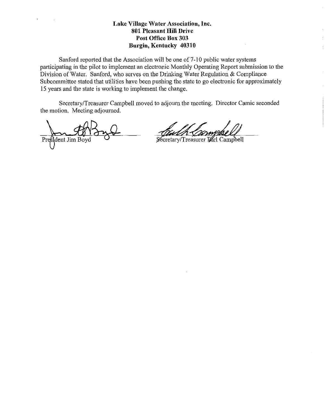Sanford reported that the Association will be one of 7-10 public water systems participating in the pilot to implement an electronic Monthly Operating Report submission to the Division of Water. Sanford, who serves on the Drinking Water Regulation & Compliance Subcommittee stated that utilities have been pushing the state to go electronic for approximately 15 years and the state is working to implement the change.

Secretary/Treasurer Campbell moved to adjourn the meeting. Director Camic seconded the motion. Meeting adjourned.

President Jim Boy

Secretary/Treasurer Earl Campbell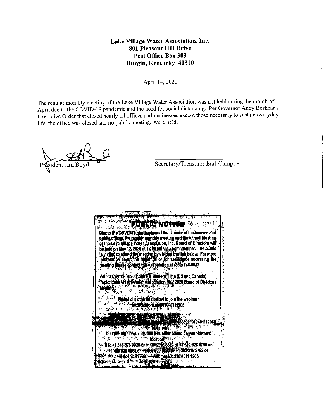April 14, 2020

The regular monthly meeting of the Lake Village Water Association was not held during the month of April due to the COVID-19 pandemic and the need for social distancing. Per Governor Andy Beshear's Executive Order that closed nearly all offices and businesses except those necessary to sustain everyday life, the office was closed and no public meetings were held.

sident Jim Boyd

Secretary/Treasurer Earl Campbell

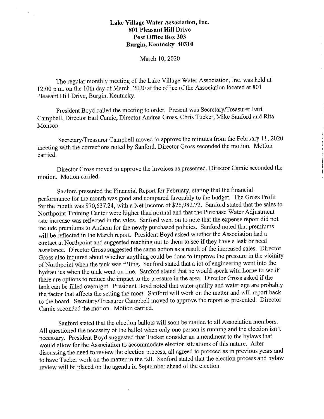$\mathcal{L}$ 

#### March 10, 2020

The regular monthly meeting of the Lake Village Water Association, Inc. was held at 12:00 p.m. on the 10th day of March, 2020 at the office of the Association located at 801 Pleasant Hill Drive, Burgin, Kentucky.

President Boyd called the meeting to order. Present was Secretary/Treasurer Earl Campbell, Director Earl Camic, Director Andrea Gross, Chris Tucker, Mike Sanford and Rita Monson.

Secretary/Treasurer Campbell moved to approve the minutes from the February 11, 2020 meeting with the corrections noted by Sanford. Director Gross seconded the motion. Motion carried.

Director Gross moved to approve the invoices as presented. Director Camic seconded the motion. Motion carried.

Sanford presented the Financial Report for February, stating that the financial performance for the month was good and compared favorably to the budget. The Gross Profit for the month was \$70,637.24, with a Net Income of \$26,982.72. Sanford stated that the sales to Northpoint Training Center were higher than normal and that the Purchase Water Adjustment rate increase was reflected in the sales. Sanford went on to note that the expense report did not include premiums to Anthem for the newly purchased policies. Sanford noted that premiums will be reflected in the March report. President Boyd asked whether the Association had a contact at Northpoint and suggested reaching out to them to see if they have a leak or need assistance. Director Gross suggested the same action as a result of the increased sales. Director Gross also inquired about whether anything could be done to improve the pressure in the vicinity of Northpoint when the tank was filling. Sanford stated that a lot of engineering went into the hydraulics when the tank went on line. Sanford stated that he would speak with Lorne to see if there are options to reduce the impact to the pressure in the area. Director Gross asked if the tank can be filled overnight. President Boyd noted that water quality and water age are probably the factor that affects the setting the most. Sanford will work on the matter and will report back to the board. Secretary/Treasurer Campbell moved to approve the report as presented. Director Camic seconded the motion. Motion carried.

Sanford stated that the election ballots will soon be mailed to all Association members. All questioned the necessity of the ballot when only one person is running and the election isn't necessary. President Boyd suggested that Tucker consider an amendment to the bylaws that would allow for the Association to accommodate election situations of this nature. After discussing the need to review the election process, all agreed to proceed as in previous years and to have Tucker work on the matter in the fall. Sanford stated that the election process and bylaw review will be placed on the agenda in September ahead of the election.

 $\hat{L}$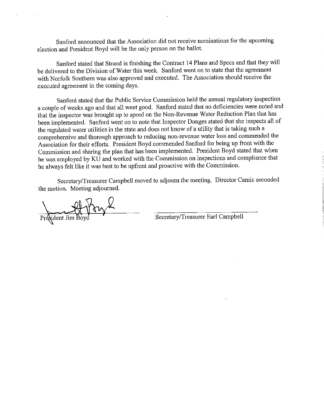Sanford announced that the Association did not receive nominations for the upcoming election and President Boyd will be the only person on the ballot.

Sanford stated that Strand is finishing the Contract 14 Plans and Specs and that they will be delivered to the Division of Water this week. Sanford went on to state that the agreement with Norfolk Southern was also approved and executed. The Association should receive the executed agreement in the coming days.

Sanford stated that the Public Service Commission held the amrnal regulatory inspection a couple of weeks ago and that all went good. Sanford stated that no deficiencies were noted and that the inspector was brought up to speed on the Non-Revenue Water Reduction Plan that has been implemented. Sanford went on to note that Inspector Donges stated that she inspects all of the regulated water utilities in the state and does not know of a utility that is taking such a comprehensive and thorough approach to reducing non-revenue water loss and commended the Association for their efforts. President Boyd commended Sanford for being up front with the Commission and sharing the plan that has been implemented. President Boyd stated that when he was employed by KU and worked with the Commission on inspections and compliance that he always felt like it was best to be upfront and proactive with the Commission.

Secretary/Treasurer Campbell moved to adjourn the meeting. Director Camic seconded the motion. Meeting adjourned.

Prodident Jim Boyd Secretary/Treasurer Earl Campbell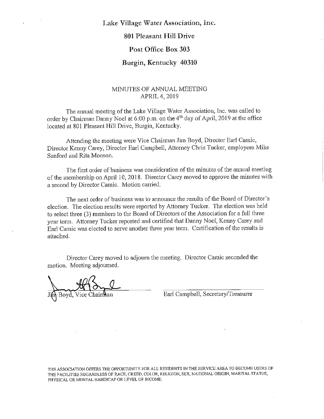# **Lake Village Water Association, Inc.**

# **801 Pleasant Hill Drive**

#### **Post Office Box 303**

# **Burgin, Kentucky 40310**

#### MINUTES OF ANNUAL MEETING APRIL 4, 2019

The annual meeting of the Lake Village Water Association, Inc. was called to order by Chairman Danny Noel at 6:00 p.m. on the  $4<sup>th</sup>$  day of April, 2019 at the office located at 801 Pleasant Hill Drive, Burgin, Kentucky.

Attending the meeting were Vice Chairman Jim Boyd, Director Earl Camic, Director Kenny Carey, Director Earl Campbell, Attorney Chris Tucker, employees Mike Sanford and Rita Monson.

The first order of business was consideration of the minutes of the annual meeting of the membership on April 10, 2018. Director Carey moved to approve the minutes with a second by Director Camic. Motion carried.

The next order of business was to announce the results of the Board of Director's election. The election results were reported by Attorney Tucker. The election was held to select three (3) members to the Board of Directors of the Association for a full three year term. Attorney Tucker reported and certified that Danny Noel, Kenny Carey and Earl Camic was elected to serve another three year term. Certification of the results is attached.

Director Carey moved to adjourn the meeting. Director Camic seconded the motion. Meeting adjourned.

Boyd, Vice Chairman

 $\sim$ 

Earl Campbell, Secretary/Treasurer

THE ASSOCIATION OFFERS THE OPPORTUNITY FOR ALL RESIDENTS IN THE SERVICE AREA TO BECOME USERS OF THE FACILITIES REGARDLESS OF RACE, CREED, COLOR, RELIGION, SEX, NATIONAL ORIGIN, MARITAL STATUS, PHYSICAL OR MENTAL HANDICAP OR LEVEL OF INCOME.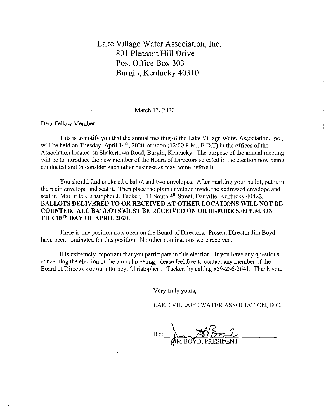March 13, 2020

Dear Fellow Member:

This is to notify you that the annual meeting of the Lake Village Water Association, Inc., will be held on Tuesday, April  $14<sup>th</sup>$ , 2020, at noon (12:00 P.M., E.D.T) in the offices of the Association located on Shakertown Road, Burgin, Kentucky. The purpose of the annual meeting will be to introduce the new member of the Board of Directors selected in the election now being conducted and to consider such other business as may come before it.

You should find enclosed a ballot and two envelopes. After marking your ballot, put it in the plain envelope and seal it. Then place the plain envelope inside the addressed envelope and seal it. Mail it to Christopher J. Tucker, 114 South 4<sup>th</sup> Street, Danville, Kentucky 40422. **BALLOTS DELIVERED TO OR RECEIVED AT OTHER LOCATIONS WILL NOT BE COUNTED. ALL BALLOTS MUST BE RECEIVED ON OR BEFORE 5:00 P.M. ON THE 10TH DAY OF APRIL 2020.** 

There is one position now open on the Board of Directors. Present Director Jim Boyd have been nominated for this position. No other nominations were received.

It is extremely important that you participate in this election. If you have any questions concerning the election or the ammal meeting, please feel free to contact any member of the Board of Directors or our attorney, Christopher J. Tucker, by calling 859-236-2641. Thank you.

Very truly yours,

LAKE VILLAGE WATER ASSOCIATION, INC.

BOYD, PRESIDENT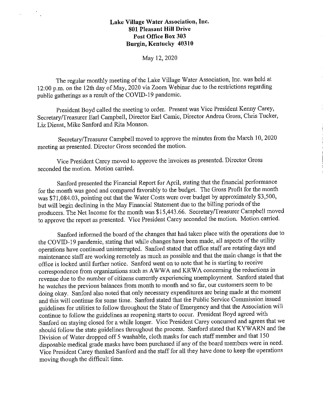$\ddot{\phantom{a}}$ 

#### May 12, 2020

The regular monthly meeting of the Lake Village Water Association, Inc. was held at 12:00 p.m. on the 12th day of May, 2020 via Zoom Webinar due to the restrictions regarding public gatherings as a result of the COVID-19 pandemic.

President Boyd called the meeting to order. Present was Vice President Kenny Carey, Secretary/Treasurer Earl Campbell, Director Earl Camic, Director Andrea Gross, Chris Tucker, Liz Dienst, Mike Sanford and Rita Monson.

Secretary/Treasurer Campbell moved to approve the minutes from the March 10, 2020 meeting as presented. Director Gross seconded the motion.

Vice President Carey moved to approve the invoices as presented. Director Gross seconded the motion. Motion carried.

Sanford presented the Financial Report for April, stating that the financial performance for the month was good and compared favorably to the budget. The Gross Profit for the month was \$71,084.03, pointing out that the Water Costs were over budget by approximately \$3,500, but will begin declining in the May Financial Statement due to the billing periods of the producers. The Net Income for the month was \$15,443.66. Secretary/Treasurer Campbell moved to approve the report as presented. Vice President Carey seconded the motion. Motion carried.

Sanford informed the board of the changes that had taken place with the operations due to the COVID-19 pandemic, stating that while changes have been made, all aspects of the utility operations have continued uninterrupted. Sanford stated that office staff are rotating days and maintenance staff are working remotely as much as possible and that the main change is that the office is locked until further notice. Sanford went on to note that he is starting to receive correspondence from organizations such as A WW A and KR WA concerning the reductions in revenue due to the number of citizens currently experiencing unemployment. Sanford stated that he watches the previous balances from month to month and so far, our customers seem to be doing okay. Sanford also noted that only necessary expenditures are being made at the moment and this will continue for some time. Sanford stated that the Public Service Commission issued guidelines for utilities to follow throughout the State of Emergency and that the Association will continue to follow the guidelines as reopening starts to occur. President Boyd agreed with Sanford on staying closed for a while longer. Vice President Carey concurred and agrees that we should follow the state guidelines throughout the process. Sanford stated that KYW ARN and the Division of Water dropped off 5 washable, cloth masks for each staff member and that 150 disposable medical grade masks have been purchased if any of the board members were in need. Vice President Carey thanked Sanford and the staff for all they have done to keep the operations moving though the difficult time.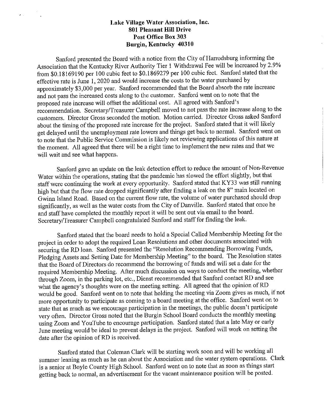$\mathbf{z}$  and  $\mathbf{z}$  and  $\mathbf{z}$ 

Sanford presented the Board with a notice from the City of Harrodsburg informing the Association that the Kentucky River Authority Tier 1 Withdrawal Fee will be increased by 2.9% from \$0.18169190 per 100 cubic feet to \$0.1869279 per 100 cubic feet. Sanford stated that the effective rate is June 1, 2020 and would increase the costs to the water purchased by approximately \$3,000 per year. Sanford recommended that the Board absorb the rate increase and not pass the increased costs along to the customer. Sanford went on to note that the proposed rate increase will offset the additional cost. All agreed with Sanford's recommendation. Secretary/Treasurer Campbell moved to not pass the rate increase along to the customers. Director Gross seconded the motion. Motion carried. Director Gross asked Sanford about the timing of the proposed rate increase for the project. Sanford stated that it will likely get delayed until the unemployment rate lowers and things get back to normal. Sanford went on to note that the Public Service Commission is likely not reviewing applications of this nature at the moment. All agreed that there will be a right time to implement the new rates and that we will wait and see what happens.

Sanford gave an update on the leak detection effort to reduce the amount of Non-Revenue Water within the operations, stating that the pandemic has slowed the effort slightly, but that staff were continuing the work at every opportunity. Sanford stated that KY33 was still running high but that the flow rate dropped significantly after finding a leak on the 8" main located on Gwinn Island Road. Based on the current flow rate, the volume of water purchased should drop significantly, as well as the water costs from the City of Danville. Sanford stated that once he and staff have completed the monthly report it will be sent out via email to the board. Secretary/Treasurer Campbell congratulated Sanford and staff for finding the leak.

Sanford stated that the board needs to hold a Special Called Membership Meeting for the project in order to adopt the required Loan Resolutions and other documents associated with securing the RD loan. Sanford presented the "Resolution Recommending Borrowing Funds, Pledging Assets and Setting Date for Membership Meeting" to the board. The Resolution states that the Board of Directors do recommend the borrowing of funds and will set a date for the required Membership Meeting. After much discussion on ways to conduct the meeting, whether through Zoom, in the parking lot, etc., Dienst recommended that Sanford contact RD and see what the agency's thoughts were on the meeting setting. All agreed that the opinion of RD would be good. Sanford went on to note that holding the meeting via Zoom gives as much, if not more opportunity to participate as coming to a board meeting at the office. Sanford went on to state that as much as we encourage participation in the meetings, the public doesn't participate very often. Director Gross noted that the Burgin School Board conducts the monthly meeting using Zoom and YouTube to encourage participation. Sanford stated that a late May or early June meeting would be ideal to prevent delays in the project. Sanford will work on setting the date after the opinion of RD is received.

Sanford stated that Coleman Clark will be starting work soon and will be working all summer leaning as much as he can about the Association and the water system operations. Clark is a senior at Boyle County High School. Sanford went on to note that as soon as things statt getting back to normal, an advertisement for the vacant maintenance position will be posted.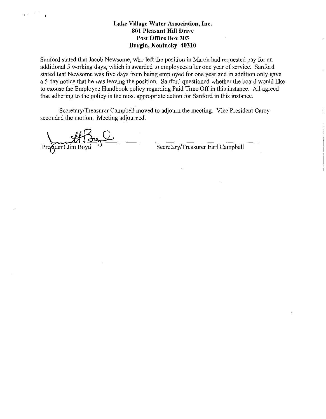Sanford stated that Jacob Newsome, who left the position in March had requested pay for an additional 5 working days, which is awarded to employees after one year of service. Sanford stated that Newsome was five days from being employed for one year and in addition only gave a 5 day notice that he was leaving the position. Sanford questioned whether the board would like to excuse the Employee Handbook policy regarding Paid Time Off in this instance. All agreed that adhering to the policy is the most appropriate action for Sanford in this instance.

Secretary/Treasurer Campbell moved to adjourn the meeting. Vice President Carey seconded the motion. Meeting adjourned.

ident Jim Boy

 $\mathbf{r}(\mathbf{x}) = \mathbf{r}(\mathbf{x})$ 

Secretary/Treasurer Earl Campbell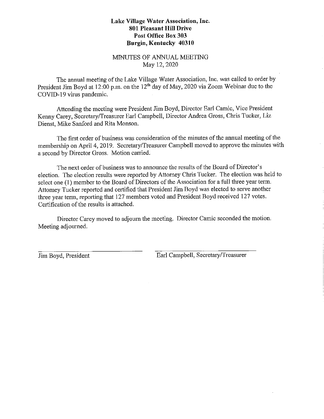#### MINUTES OF ANNUAL MEETING May 12, 2020

The annual meeting of the Lake Village Water Association, Inc. was called to order by President Jim Boyd at 12:00 p.m. on the 12<sup>th</sup> day of May, 2020 via Zoom Webinar due to the COVID-19 virus pandemic.

Attending the meeting were President Jim Boyd, Director Earl Camic, Vice President Kenny Carey, Secretary/Treasurer Earl Campbell, Director Andrea Gross, Chris Tucker, Liz Dienst, Mike Sanford and Rita Monson.

The first order of business was consideration of the minutes of the annual meeting of the membership on April 4, 2019. Secretary/Treasurer Campbell moved to approve the minutes with a second by Director Gross. Motion carried.

The next order of business was to announce the results of the Board of Director's election. The election results were reported by Attorney Chris Tucker. The election was held to select one (I) member to the Board of Directors of the Association for a full three year term. Attorney Tucker reported and certified that President Jim Boyd was elected to serve another three year term, reporting that 127 members voted and President Boyd received 127 votes. Certification of the results is attached.

Director Carey moved to adjourn the meeting. Director Camic seconded the motion. Meeting adjourned.

Jim Boyd, President Earl Campbell, Secretary/Treasurer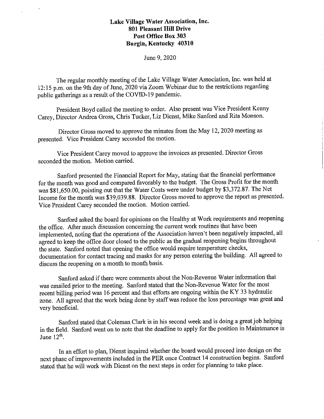#### June 9, 2020

The regular monthly meeting of the Lake Village Water Association, Inc. was held at 12:15 p.m. on the 9th day of June, 2020 via Zoom Webinar due to the restrictions regarding public gatherings as a result of the COVID-19 pandemic.

President Boyd called the meeting to order. Also present was Vice President Kenny Carey, Director Andrea Gross, Chris Tucker, Liz Dienst, Mike Sanford and Rita Monson.

Director Gross moved to approve the minutes from the May 12, 2020 meeting as presented. Vice President Carey seconded the motion.

Vice President Carey moved to approve the invoices as presented. Director Gross seconded the motion. Motion carried.

Sanford presented the Financial Report for May, stating that the financial performance for the month was good and compared favorably to the budget. The Gross Profit for the month was \$81,650.00, pointing out that the Water Costs were under budget by \$3,372.87. The Net Income for the month was \$39,039.88. Director Gross moved to approve the report as presented. Vice President Carey seconded the motion. Motion carried.

Sanford asked the board for opinions on the Healthy at Work requirements and reopening the office. After much discussion concerning the current work routines that have been implemented, noting that the operations of the Association haven't been negatively impacted, all agreed to keep the office door closed to the public as the gradual reopening begins throughout the state. Sanford noted that opening the office would require temperature checks, documentation for contact tracing and masks for any person entering the building. All agreed to discuss the reopening on a month to month basis.

Sanford asked if there were comments about the Non-Revenue Water information that was emailed prior to the meeting. Sanford stated that the Non-Revenue Water for the most recent billing period was 16 percent and that efforts are ongoing within the KY 33 hydraulic zone. All agreed that the work being done by staff was reduce the loss percentage was great and very beneficial.

Sanford stated that Coleman Clark is in his second week and is doing a great job helping in the field. Sanford went on to note that the deadline to apply for the position in Maintenance is June  $12<sup>th</sup>$ .

In an effort to plan, Dienst inquired whether the board would proceed into design on the next phase of improvements included in the PER once Contract 14 construction begins. Sanford stated that he will work with Dienst on the next steps in order for planning to take place.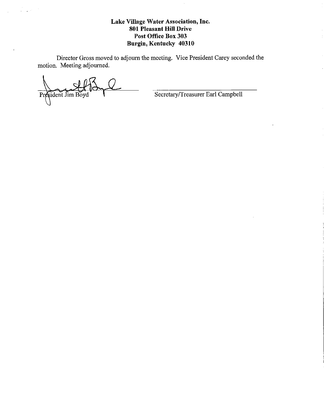Director Gross moved to adjourn the meeting. Vice President Carey seconded the motion. Meeting adjourned.

President Jim Boyd

 $\frac{1}{2} \frac{1}{2} \frac{1}{2} \frac{1}{2} \frac{1}{2} \frac{1}{2} \frac{1}{2}$ 

 $\bar{\bar{t}}$ 

Secretary/Treasurer Earl Campbell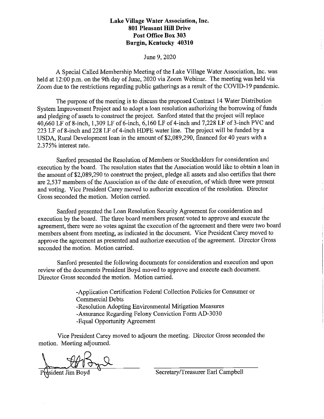#### June 9, 2020

A Special Called Membership Meeting of the Lake Village Water Association, Inc. was held at 12:00 p.m. on the 9th day of June, 2020 via Zoom Webinar. The meeting was held via Zoom due to the restrictions regarding public gatherings as a result of the COVID-19 pandemic.

The purpose of the meeting is to discuss the proposed Contract 14 Water Distribution System Improvement Project and to adopt a loan resolution authorizing the borrowing of funds and pledging of assets to construct the project. Sanford stated that the project will replace 40,660 LF of 8-inch, 1,309 LF of 6-inch, 6,160 LF of 4-inch and 7,228 LF of 3-inch PVC and 223 LF of 8-inch and 228 LF of 4-inch HDPE water line. The project will be funded by a USDA, Rural Development loan in the amount of \$2,089,290, financed for 40 years with a 2.375% interest rate.

Sanford presented the Resolution of Members or Stockholders for consideration and execution by the board. The resolution states that the Association would like to obtain a loan in the amount of\$2,089,290 to construct the project, pledge all assets and also certifies that there are 2,537 members of the Association as of the date of execution, of which three were present and voting. Vice President Carey moved to authorize execution of the resolution. Director Gross seconded the motion. Motion carried.

Sanford presented the Loan Resolution Security Agreement for consideration and execution by the board. The three board members present voted to approve and execute the agreement, there were no votes against the execution of the agreement and there were two board members absent from meeting, as indicated in the document. Vice President Carey moved to approve the agreement as presented and authorize execution of the agreement. Director Gross seconded the motion. Motion carried.

Sanford presented the following documents for consideration and execution and upon review of the documents President Boyd moved to approve and execute each document. Director Gross seconded the motion. Motion carried.

> -Application Certification Federal Collection Policies for Consumer or Commercial Debts -Resolution Adopting Enviromnental Mitigation Measures -Assurance Regarding Felony Conviction Form AD-3030 -Equal Opportunity Agreement

Vice President Carey moved to adjourn the meeting. Director Gross seconded the motion. Meeting adjourned.

Physident Jim Boyd **Paris Composed Secretary/Treasurer Earl Campbell**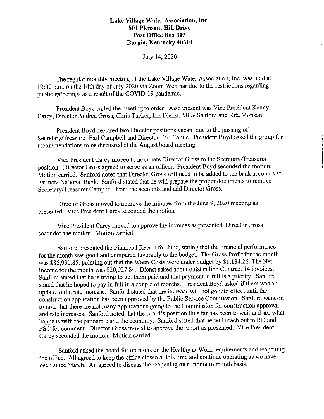$\chi^2 \to \chi^2$ 

July 14, 2020

The regular monthly meeting of the Lake Village Water Association, Inc. was held at 12:00 p.m. on the 14th day of July 2020 via Zoom Webinar due to the restrictions regarding public gatherings as a result of the COVID-19 pandemic.

President Boyd called the meeting to order. Also present was Vice President Kenny Carey, Director Andrea Gross, Chris Tucker, Liz Dienst, Mike Sanford and Rita Monson.

President Boyd declared two Director positions vacant due to the passing of Secretary/Treasurer Earl Campbell and Director Earl Camic. President Boyd asked the group for recommendations to be discussed at the August board meeting.

Vice President Carey moved to nominate Director Gross to the Secretary/Treasurer position. Director Gross agreed to serve as an officer. President Boyd seconded the motion. Motion carried. Sanford noted that Director Gross will need to be added to the bank accounts at Farmers National Bank. Sanford stated that he will prepare the proper documents to remove Secretary/Treasurer Campbell from the accounts and add Director Gross.

Director Gross moved to approve the minutes from the June 9, 2020 meeting as presented. Vice President Carey seconded the motion.

Vice President Carey moved to approve the invoices as presented. Director Gross seconded the motion. Motion carried.

Sanford presented the Financial Report for June, stating that the financial performance for the month was good and compared favorably to the budget. The Gross Profit for the month was \$85,991.85, pointing out that the Water Costs were under budget by \$1,184.26. The Net Income for the month was \$20,027.84. Dienst asked about outstanding Contract 14 invoices. Sanford stated that he is trying to get them paid and that payment in full is a priority. Sanford stated that he hoped to pay in full in a couple of months. President Boyd asked if there was an update to the rate increase. Sanford stated that the increase will not go into effect until the construction application has been approved by the Public Service Commission. Sanford went on to note that there are not many applications going to the Commission for construction approval and rate increases. Sanford noted that the board's position thus far has been to wait and see what happens with the pandemic and the economy. Sanford stated that he will reach out to RD and PSC for comment. Director Gross moved to approve the report as presented. Vice President Carey seconded the motion. Motion carried.

Sanford asked the board for opinions on the Healthy at Work requirements and reopening the office. All agreed to keep the office closed at this time and continue operating as we have been since March. All agreed to discuss the reopening on a month to month basis.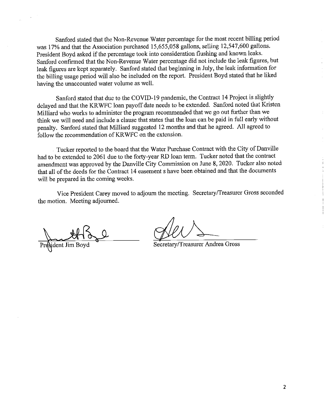Sanford stated that the Non-Revenue Water percentage for the most recent billing period was 17% and that the Association purchased 15,655,058 gallons, selling 12,547,600 gallons. President Boyd asked if the percentage took into consideration flushing and known leaks. Sanford confirmed that the Non-Revenue Water percentage did not include the leak figures, but leak figures are kept separately. Sanford stated that beginning in July, the leak information for the billing usage period will also be included on the report. President Boyd stated that he liked having the unaccounted water volume as well.

Sanford stated that due to the COVID-19 pandemic, the Contract 14 Project is slightly delayed and that the KR WFC loan payoff date needs to be extended. Sanford noted that Kristen Milliard who works to administer the program recommended that we go out further than we think we will need and include a clause that states that the loan can be paid in full early without penalty. Sanford stated that Milliard suggested 12 months and that he agreed. All agreed to follow the recommendation of KRWFC on the extension.

Tucker reported to the board that the Water Purchase Contract with the City of Danville had to be extended to 2061 due to the forty-year RD loan term. Tucker noted that the contract amendment was approved by the Danville City Commission on June 8, 2020. Tucker also noted that all of the deeds for the Contract 14 easement shave been obtained and that the documents will be prepared in the coming weeks.

Vice President Carey moved to adjourn the meeting. Secretary/Treasurer Gross seconded the motion. Meeting adjourned.

Sident Jim Boy

l,

Secretary/Treasurer Andrea Gross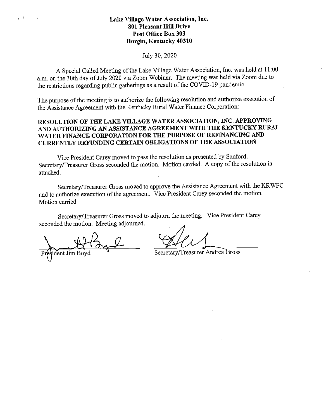#### July 30, 2020

A Special Called Meeting of the Lake Village Water Association, Inc. was held at 11 :00 a.m. ou the 30th day of July 2020 via Zoom Webinar, The meeting was held via Zoom due to the restrictions regarding public gatherings as a result of the COVID-19 pandemic,

The purpose of the meeting is to authorize the following resolution and authorize execution of the Assistance Agreement with the Kentucky Rural Water Finance Corporation:

#### **RESOLUTION OF THE LAKE VILLAGE WATER ASSOCIATION, INC. APPROVING AND AUTHORIZING AN ASSISTANCE AGREEMENT WITH THE KENTUCKY RURAL WATER FINANCE CORPORATION FOR THE PURPOSE OF REFINANCING AND CURRENTLY REFUNDING CERTAIN OBLIGATIONS OF THE ASSOCIATION**

Vice President Carey moved to pass the resolution as presented by Sanford. Secretary/Treasurer Gross seconded the motion. Motion carried. A copy of the resolution is attached.

Secretary/Treasurer Gross moved to approve the Assistance Agreement with the KRWFC and to authorize execution of the agreement. Vice President Carey seconded the motion. Motion carried

Secretary/Treasurer Gross moved to adjourn the meeting. Vice President Carey seconded the motion. Meeting adjourned. ourn the meeting. Vice President Carey<br>experiency/Treasurer Andrea Gross

ident Jim Bov

Secretary/Treasurer Andrea Gross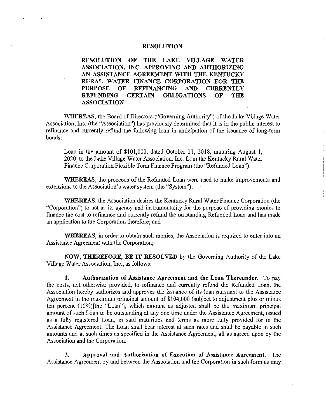#### **RESOLUTION**

**RESOLUTION OF THE LAKE VILLAGE WATER ASSOCIATION, INC. APPROVING AND AUTHORIZING AN ASSISTANCE AGREEMENT WITH THE KENTUCKY RURAL WATER FINANCE CORPORATION FOR THE PURPOSE OF REFINANCING AND CURRENTLY CERTAIN OBLIGATIONS OF THE ASSOCIATION** 

**WHEREAS,** the Board of Directors ("Governing Authority") of the Lake Village Water Association, Inc. (the "Association") has previously determined that it is in the public interest to refinance and currently refund the following loan in anticipation of the issuance of long-term bonds:

Loan in the amount of \$101,000, dated October 11, 2018, maturing August 1, 2020, to the Lake Village Water Association, Inc. from the Kentucky Rural Water Finance Corporation Flexible Term Finance Program (the "Refunded Loan").

**WHEREAS,** the proceeds of the Refunded Loan were used to make improvements and extensions to the Association's water system (the "System");

**WHEREAS,** the Association desires the Kentucky Rural Water Finance Corporation (the "Corporation") to act as its agency and instrumentality for the purpose of providing monies to finance the cost to refinance and currently refund the outstanding Refunded Loan and has made an application to the Corporation therefore; and

**WHEREAS,** in order to obtain such monies, the Association is required to enter into an Assistance Agreement with the Corporation;

**NOW, THEREFORE, BE IT RESOLVED** by the Governing Authority of the Lake Village Water Association, Inc., as follows:

**1. Authorization of Assistance Agreement and the Loan Thereunder.** To pay the costs, not otherwise provided, to refinance and currently refund the Refunded Loan, the Association hereby authorizes and approves the issuance of its loan pursuant to the Assistance Agreement in the maximum principal amount of \$104,000 (subject to adjustment plus or minus ten percent (10%)[the "Loan"], which amount as adjusted shall be the maximum principal amount of such Loan to be outstanding at any one time under the Assistance Agreement, issued as a fully registered Loan, in said maturities and terms as more fully provided for in the Assistance Agreement. The Loan shall bear interest at such rates and shall be payable in such amounts and at such times as specified in the Assistance Agreement, all as agreed upon by the Association and the Corporation.

**2. Approval and Authorization of Execution of Assistance Agreement.** The Assistance Agreement by and between the Association and the Corporation in such form as may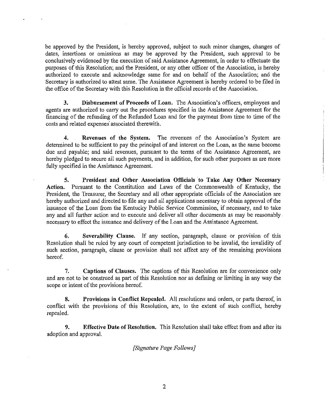be approved by the President, is hereby approved, subject to such minor changes, changes of dates, insertions or omissions as may be approved by the President, such approval to be conclusively evidenced by the execution of said Assistance Agreement, in order to effectuate the purposes of this Resolution; and the President, or any other officer of the Association, is hereby authorized to execute and acknowledge same for and on behalf of the Association; and the Secretary is authorized to attest same. The Assistance Agreement is hereby ordered to be filed in the office of the Secretary with this Resolution in the official records of the Association.

**3. Disbursement of Proceeds of Loan.** The Association's officers, employees and agents are authorized to carry out the procedures specified in the Assistance Agreement for the financing of the refunding of the Refunded Loan and for the payment from time to time of the costs and related expenses associated therewith.

**4. Revenues of the System.** The revenues of the Association's System are determined to be sufficient to pay the principal of and interest on the Loan, as the same become due and payable; and said revenues, pursuant to the terms of the Assistance Agreement, are hereby pledged to secure all such payments, and in addition, for such other purposes as are more fully specified in the Assistance Agreement.

**5. President and Other Association Officials to Take Any Other Necessary Action.** Pursuant to the Constitution and Laws of the Commonwealth of Kentucky, the President, the Treasurer, the Secretary and all other appropriate officials of the Association are hereby authorized and directed to file any and all applications necessary to obtain approval of the issuance of the Loan from the Kentucky Public Service Commission, if necessary, and to take any and all further action and to execute and deliver all other documents as may be reasonably. necessary to effect the issuance and delivery of the Loan and the Assistance Agreement.

**6. Severability Clause.** If any section, paragraph, clause or provision of this Resolution shall be ruled by any court of competent jurisdiction to be invalid, the invalidity of such section, paragraph, clause or provision shall not affect any of the remaining provisions hereof.

7. **Captions of Clauses.** The captions of this Resolution are for convenience only and are not to be construed as part of this Resolution nor as defining or limiting in any way the scope or intent of the provisions hereof.

**8. Provisions in Conflict Repealed.** All resolutions and orders, or parts thereof, in conflict with the provisions of this Resolution, are, to the extent of such conflict, hereby repealed.

**9. Effective Date of Resolution.** This Resolution shall take effect from and after its adoption and approval.

*[Signature Page Follows]*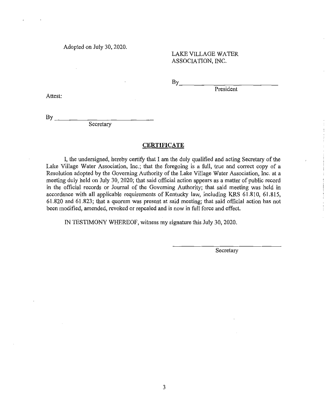Adopted on July 30, 2020.

LAKE VILLAGE WATER ASSOCIATION, INC.

 $By$  and  $\frac{1}{2}$  and  $\frac{1}{2}$  and  $\frac{1}{2}$  and  $\frac{1}{2}$  and  $\frac{1}{2}$  and  $\frac{1}{2}$  and  $\frac{1}{2}$  and  $\frac{1}{2}$  and  $\frac{1}{2}$  and  $\frac{1}{2}$  and  $\frac{1}{2}$  and  $\frac{1}{2}$  and  $\frac{1}{2}$  and  $\frac{1}{2}$  and  $\frac{1}{2}$  and  $\frac$ 

President

Attest:

 $\mathbf{B}$ y

Secretary

#### **CERTIFICATE**

I, the undersigned, hereby certify that I am the duly qualified and acting Secretary of the Lake Village Water Association, Inc.; that the foregoing is a full, true and correct copy of a Resolution adopted by the Governing Authority of the Lake Village Water Association, Inc. at a meeting duly held on July 30, 2020; that said official action appears as a matter of public record in the official records or Journal of the Governing Authority; that said meeting was held in accordance with all applicable requirements of Kentucky law, including KRS 61.810, 61.815, 61.820 and 61.823; that a quorum was present at said meeting; that said official action has not been modified, amended, revoked or repealed and is now in full force and effect.

IN TESTIMONY WHEREOF, witness my signature this July 30, 2020.

Secretary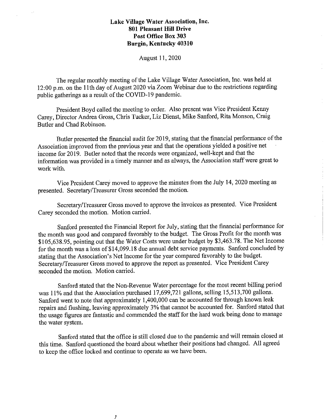August 11, 2020

The regular monthly meeting of the Lake Village Water Association, Inc. was held at 12 :00 p.m. on the 11th day of August 2020 via Zoom Webinar due to the restrictions regarding public gatherings as a result of the COVID-19 pandemic.

President Boyd called the meeting to order. Also present was Vice President Kenny Carey, Director Andrea Gross, Chris Tucker, Liz Dienst, Mike Sanford, Rita Monson, Craig Butler and Chad Robinson.

Butler presented the financial audit for 2019, stating that the financial performance of the Association improved from the previous year and that the operations yielded a positive net income for 2019. Butler noted that the records were organized, well-kept and that the information was provided in a timely manner and as always, the Association staff were great to work with.

Vice President Carey moved to approve the minutes from the July 14, 2020 meeting as presented. Secretary/Treasurer Gross seconded the motion.

Secretary/Treasurer Gross moved to approve the invoices as presented. Vice President Carey seconded the motion. Motion carried.

Sanford presented the Financial Report for July, stating that the financial performance for the month was good and compared favorably to the budget. The Gross Profit for the month was \$105,638.95, pointing out that the Water Costs were under budget by \$3,463.78. The Net Income for the month was a loss of \$14,099.18 due annual debt service payments. Sanford concluded by stating that the Association's Net Income for the year compared favorably to the budget. Secretary/Treasurer Gross moved to approve the report as presented. Vice President Carey seconded the motion. Motion carried.

Sanford stated that the Non-Revenue Water percentage for the most recent billing period was 11% and that the Association purchased 17,699,721 gallons, selling 15,513,700 gallons. Sanford went to note that approximately 1,400,000 can be accounted for through known leak repairs and flushing, leaving approximately 3% that cannot be accounted for. Sanford stated that the usage figures are fantastic and commended the staff for the hard work being done to manage the water system.

Sanford stated that the office is still closed due to the pandemic and will remain closed at this time. Sanford questioned the board about whether their positions had changed. All agreed to keep the office locked and continue to operate as we have been.

*)*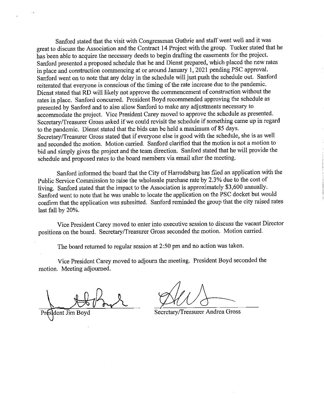Sanford stated that the visit with Congressman Guthrie and staff went well and it was great to discuss the Association and the Contract 14 Project with the group. Tucker stated that he has been able to acquire the necessary deeds to begin drafting the easements for the project. Sanford presented a proposed schedule that he and Dienst prepared, which placed the new rates in place and construction commencing at or around January 1, 2021 pending PSC approval. Sanford went on to note that any delay in the schedule will just push the schedule out. Sanford reiterated that everyone is conscious of the timing of the rate increase due to the pandemic. Dienst stated that RD will likely not approve the commencement of construction without the rates in place. Sanford concurred. President Boyd recommended approving the schedule as presented by Sanford and to also allow Sanford to make any adjustments necessary to accommodate the project. Vice President Carey moved to approve the schedule as presented. Secretary/Treasurer Gross asked if we could revisit the schedule if something came up in regard to the pandemic. Dienst stated that the bids can be held a maximum of 85 days. Secretary/Treasurer Gross stated that if everyone else is good with the schedule, she is as well and seconded the motion. Motion carried. Sanford clarified that the motion is not a motion to bid and simply gives the project and the team direction. Sanford stated that he will provide the schedule and proposed rates to the board members via email after the meeting.

Sanford informed the board that the City of Harrodsburg has filed an application with the Public Service Commission to raise the wholesale purchase rate by 2.3 % due to the cost of living. Sanford stated that the impact to the Association is approximately \$3,600 annually. Sanford went to note that he was unable to locate the application on the PSC docket but would confirm that the application was submitted. Sanford reminded the group that the city raised rates last fall by 20%.

Vice President Carey moved to enter into executive session to discuss the vacant Director positions on the board. Secretary/Treasurer Gross seconded the motion. Motion carried.

The board returned to regular session at 2:50 pm and no action was taken.

Vice President Carey moved to adjourn the meeting. President Boyd seconded the motion. Meeting adjourned.

dent Jim Boyd

 $Q$ 

Secretary/Treasurer Andrea Gross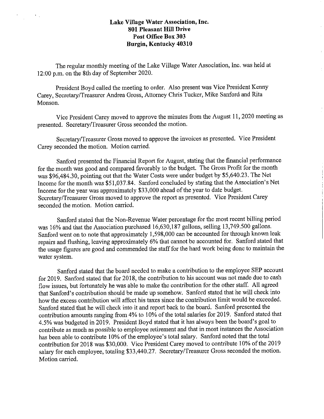$\sigma_{\rm{max}}$ 

The regular monthly meeting of the Lake Village Water Association, Inc. was held at 12:00 p.m. on the 8th day of September 2020.

President Boyd called the meeting to order. Also present was Vice President Kenny Carey, Secretary/Treasurer Andrea Gross, Attorney Chris Tucker, Mike Sanford and Rita Monson.

Vice President Carey moved to approve the minutes from the August 11, 2020 meeting as presented. Secretary/Treasurer Gross seconded the motion.

Secretary/Treasurer Gross moved to approve the invoices as presented. Vice President Carey seconded the motion. Motion carried.

Sanford presented the Financial Report for August, stating that the financial performance for the month was good and compared favorably to the budget. The Gross Profit for the month was \$96,484.30, pointing out that the Water Costs were under budget by \$5,640.23. The Net Income for the month was \$51,037.84. Sanford concluded by stating that the Association's Net Income for the year was approximately \$33,000 ahead of the year to date budget. Secretary/Treasurer Gross moved to approve the report as presented. Vice President Carey seconded the motion. Motion carried.

Sanford stated that the Non-Revenue Water percentage for the most recent billing period was 16% and that the Association purchased 16,630,187 gallons, selling 13,749.500 gallons. Sanford went on to note that approximately 1,598,000 can be accounted for through known leak repairs and flushing, leaving approximately 6% that cannot be accounted for. Sanford stated that the usage figures are good and commended the staff for the hard work being done to maintain the water system.

Sanford stated that the board needed to make a contribution to the employee SEP account for 2019. Sanford stated that for 2018, the contribution to his account was not made due to cash flow issues, but fortunately he was able to make the contribution for the other staff. All agreed that Sanford's contribution should be made up somehow. Sanford stated that he will check into how the excess contribution will affect his taxes since the contribution limit would be exceeded. Sanford stated that he will check into it and report back to the board. Sanford presented the contribution amounts ranging from 4% to 10% of the total salaries for 2019. Sanford stated that 4.5% was budgeted in 2019. President Boyd stated that it has always been the board's goal to contribute as much as possible to employee retirement and that in most instances the Association has been able to contribute 10% of the employee's total salary. Sanford noted that the total contribution for 2018 was \$30,000. Vice President Carey moved to contribute 10% of the 2019 salary for each employee, totaling \$33,440.27. Secretary/Treasurer Gross seconded the motion. Motion carried.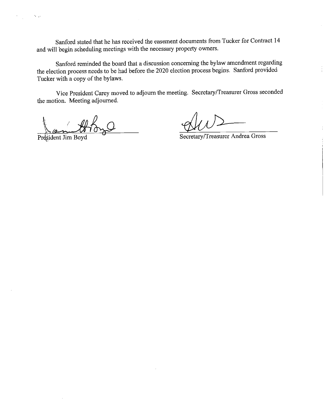Sanford stated that he has received the easement documents from Tucker for Contract 14 and will begin scheduling meetings with the necessary property owners.

Sanford reminded the board that a discussion concerning the bylaw amendment regarding the election process needs to be had before the 2020 election process begins. Sanford provided Tucker with a copy of the bylaws.

Vice President Carey moved to adjourn the meeting. Secretary/Treasurer Gross seconded the motion. Meeting adjourned.

President Jim Boyd

 $\sim$   $_{\odot}$ 

Secretary/Treasurer Andrea Gross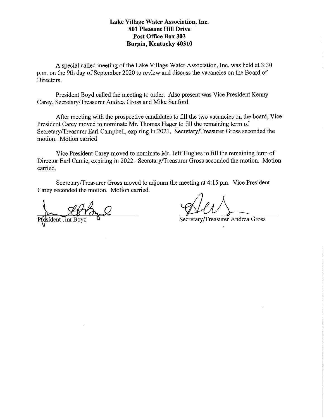A special called meeting of the Lake Village Water Association, Inc. was held at 3:30 p.m. on the 9th day of September 2020 to review and discuss the vacancies on the Board of Directors.

President Boyd called the meeting to order. Also present was Vice President Kenny Carey, Secretary/Treasurer Andrea Gross and Mike Sanford.

After meeting with the prospective candidates to fill the two vacancies on the board, Vice President Carey moved to nominate Mr. Thomas Hager to fill the remaining term of Secretary/Treasurer Earl Campbell, expiring in 2021. Secretary/Treasurer Gross seconded the motion. Motion carried.

Vice President Carey moved to nominate Mr. Jeff Hughes to fill the remaining term of Director Earl Camic, expiring in 2022. Secretary/Treasurer Gross seconded the motion. Motion carried.

Secretary/Treasurer Gross moved to adjourn the meeting at 4: 15 pm. Vice President Carey seconded the motion. Motion carried.

Secretary/Treasurer Andrea Gross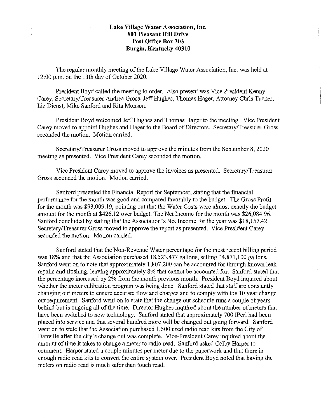$\frac{1}{2}$ 

The regular monthly meeting of the Lake Village Water Association, Inc. was held at 12:00 p.m. on the 13th day of October 2020.

President Boyd called the meeting to order. Also present was Vice President Kenny Carey, Secretary/Treasurer Andrea Gross, Jeff Hughes, Thomas Hager, Attorney Chris Tucker, Liz Dienst, Mike Sanford and Rita Monson.

President Boyd welcomed Jeff Hughes and Thomas Hager to the meeting. Vice President Carey moved to appoint Hughes and Hager to the Board of Directors. Secretary/Treasurer Gross seconded the motion. Motion carried.

Secretary/Treasurer Gross moved to approve the minutes from the September 8, 2020 meeting as presented. Vice President Carey seconded the motion.

Vice President Carey moved to approve the invoices as presented. Secretary/Treasurer Gross seconded the motion. Motion carried.

Sanford presented the Financial Report for September, stating that the financial performance for the month was good and compared favorably to the budget. The Gross Profit for the month was \$93,009.19, pointing out that the Water Costs were almost exactly the budget amount for the month at \$426.12 over budget. The Net Income for the month was \$26,084.96. Sanford concluded by stating that the Association's Net Income for the year was \$18,157.42. Secretary/Treasurer Gross moved to approve the report as presented. Vice President Carey seconded the motion. Motion carried.

Sanford stated that the Non-Revenue Water percentage for the most recent billing period was 18% and that the Association purchased 18,523,477 gallons, selling 14,871,100 gallons. Sanford went on to note that approximately 1,807,200 can be accounted for through known leak repairs and flushing, leaving approximately 8% that cannot be accounted for. Sanford stated that the percentage increased by 2% from the month previous month. President Boyd inquired about whether the meter calibration program was being done. Sanford stated that staff are constantly changing out meters to ensure accurate flow and charges and to comply with the 10 year change out requirement. Sanford went on to state that the change out schedule runs a couple of years behind but is ongoing all of the time. Director Hughes inquired about the number of meters that have been switched to new technology. Sanford stated that approximately 700 IPerl had been placed into service and that several hundred more will be changed out going forward. Sanford went on to state that the Association purchased 1,500 used radio read kits from the City of Danville after the city's change out was complete. Vice-President Carey inquired about the amount of time it takes to change a meter to radio read. Sanford asked Colby Harper to comment. Harper stated a couple minutes per meter due to the paperwork and that there is enough radio read kits to convert the entire system over. President Boyd noted that having the meters on radio read is much safer than touch read.

 $\frac{1}{3}$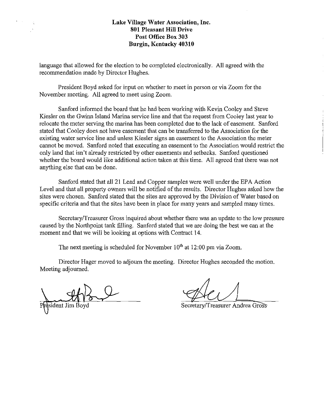language that allowed for the election to be completed electronically. All agreed with the recommendation made by Director Hughes.

President Boyd asked for input on whether to meet in person or via Zoom for the November meeting. All agreed to meet using Zoom.

Sanford informed the board that he had been working with Kevin Cooley and Steve Kiesler on the Gwinn Island Marina service line and that the request from Cooley last year to relocate the meter serving the marina has been completed due to the lack of easement. Sanford stated that Cooley does not have easement that can be transferred to the Association for the existing water service line and unless Kiesler signs an easement to the Association the meter cannot be moved. Sanford noted that executing an easement to the Association would restrict the only land that isn't already restricted by other easements and setbacks. Sanford questioned whether the board would like additional action taken at this time. All agreed that there was not anything else that can be done.

Sanford stated that all 21 Lead and Copper samples were well under the EPA Action Level and that all property owners will be notified of the results. Director Hughes asked how the sites were chosen. Sanford stated that the sites are approved by the Division of Water based on specific criteria and that the sites have been in place for many years and sampled many times.

Secretary/Treasurer Gross inquired about whether there was an update to the low pressure caused by the Northpoint tank filling. Sanford stated that we are doing the best we can at the moment and that we will be looking at options with Contract 14.

The next meeting is scheduled for November  $10<sup>th</sup>$  at 12:00 pm via Zoom.

Director Hager moved to adjourn the meeting. Director Hughes seconded the motion. Meeting adjourned.

resident Jim Boyd

Secretary/Treasurer Andrea Gros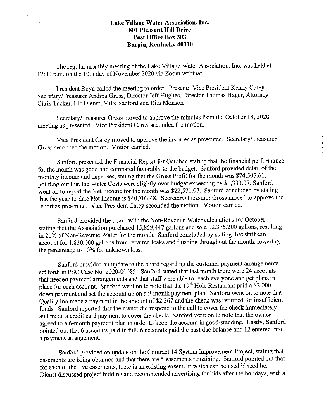$\mathcal{A}$ 

The regular monthly meeting of the Lake Village Water Association, Inc. was held at 12:00 p.m. on the 10th day of November 2020 via Zoom webinar.

President Boyd called the meeting to order. Present: Vice President Kenny Carey, Secretary/Treasurer Andrea Gross, Director Jeff Hughes, Director Thomas Hager, Attorney Chris Tucker, Liz Dienst, Mike Sanford and Rita Monson.

Secretary/Treasurer Gross moved to approve the minutes from the October 13, 2020 meeting as presented. Vice President Carey seconded the motion.

Vice President Carey moved to approve the invoices as presented. Secretary/Treasurer Gross seconded the motion. Motion carried.

Sanford presented the Financial Report for October, stating that the financial performance for the month was good and compared favorably to the budget. Sanford provided detail of the monthly income and expenses, stating that the Gross Profit for the month was \$74,507.61, pointing out that the Water Costs were slightly over budget exceeding by \$1,333.07. Sanford went on to report the Net Income for the month was \$22,571.07. Sanford concluded by stating that the year-to-date Net Income is \$40,703.48. Secretary/Treasurer Gross moved to approve the report as presented. Vice President Carey seconded the motion. Motion carried.

Sanford provided the board with the Non-Revenue Water calculations for October, stating that the Association purchased 15,859,447 gallons and sold 12,375,200 gallons, resulting in 21 % of Non-Revenue Water for the month. Sanford concluded by stating that staff can account for 1,830,000 gallons from repaired leaks and flushing throughout the month, lowering the percentage to 10% for unknown loss.

Sanford provided an update to the board regarding the customer payment arrangements set forth in PSC Case No. 2020-00085. Sanford stated that last month there were 24 accounts that needed payment arrangements and that staff were able to reach everyone and get plans in place for each account. Sanford went on to note that the  $19<sup>th</sup>$  Hole Restaurant paid a \$2,000 down payment and set the account up on a 9-month payment plan. Sanford went on to note that Quality Inn made a payment in the amount of \$2,367 and the check was returned for insufficient funds. Sanford reported that the owner did respond to the call to cover the check immediately and made a credit card payment to cover the check. Sanford went on to note that the owner agreed to a 6-month payment plan in order to keep the account in good-standing. Lastly, Sanford pointed out that 6 accounts paid in full, 6 accounts paid the past due balance and 12 entered into a payment arrangement.

Sanford provided an update on the Contract 14 System Improvement Project, stating that easements are being obtained and that there are 5 easements remaining. Sanford pointed out that for each of the five easements, there is an existing easement which can be used if need be. Dienst discussed project bidding and recommended advertising for bids after the holidays, with a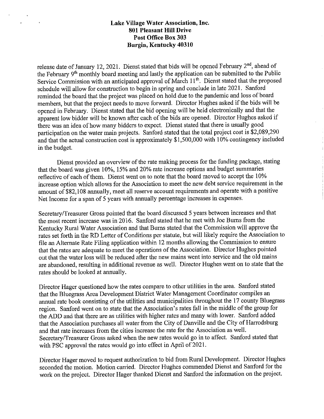$\mathbf{r}$ 

release date of January 12, 2021. Dienst stated that bids will be opened February 2<sup>nd</sup>, ahead of the February 9th monthly board meeting and lastly the application can be submitted to the Public Service Commission with an anticipated approval of March 11<sup>th</sup>. Dienst stated that the proposed schedule will allow for construction to begin in spring and conclude in late 2021. Sanford reminded the board that the project was placed on hold due to the pandemic and loss of board members, but that the project needs to move forward. Director Hughes asked if the bids will be opened in February. Dienst stated that the bid opening will be held electronically and that the apparent low bidder will be known after each of the bids are opened. Director Hughes asked if there was an idea of how many bidders to expect. Dienst stated that there is usually good participation on the water main projects. Sanford stated that the total project cost is \$2,089,290 and that the actual construction cost is approximately \$1,500,000 with 10% contingency included in the budget.

Dienst provided an overview of the rate making process for the funding package, stating that the board was given 10%, 15% and 20% rate increase options and budget summaries reflective of each of them. Dienst went on to note that the board moved to accept the I 0% increase option which allows for the Association to meet the new debt service requirement in the amount of \$82,108 annually, meet all reserve account requirements and operate with a positive Net Income for a span of 5 years with annually percentage increases in expenses.

Secretary/Treasurer Gross pointed that the board discussed 5 years between increases and that the most recent increase was in 2016. Sanford stated that he met with Joe Bums from the Kentucky Rural Water Association and that Burns stated that the Commission will approve the rates set forth in the RD Letter of Conditions per statute, but will likely require the Association to file an Alternate Rate Filing application within 12 months allowing the Commission to ensure that the rates are adequate to meet the operations of the Association. Director Hughes pointed out that the water loss will be reduced after the new mains went into service and the old mains are abandoned, resulting in additional revenue as well. Director Hughes went on to state that the rates should be looked at annually.

Director Hager questioned how the rates compare to other utilities in the area. Sanford stated that the Bluegrass Area Development District Water Management Coordinator compiles an armual rate book consisting of the utilities and municipalities throughout the 17 county Bluegrass region. Sanford went on to state that the Association's rates fall in the middle of the group for the ADD and that there are as utilities with higher rates and many with lower. Sanford added that the Association purchases all water from the City of Danville and the City of Harrodsburg and that rate increases from the cities increase the rate for the Association as well. Secretary/Treasurer Gross asked when the new rates would go in to affect. Sanford stated that with PSC approval the rates would go into effect in April of 2021.

Director Hager moved to request authorization to bid from Rural Development. Director Hughes seconded the motion. Motion carried. Director Hughes commended Dienst and Sanford for the work on the project. Director Hager thanked Dienst and Sanford the information on the project.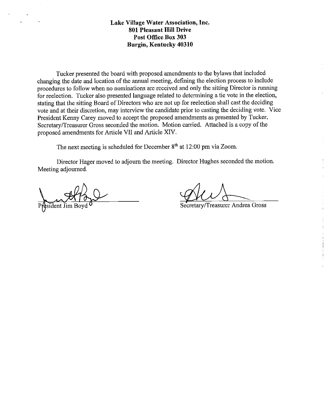Tucker presented the board with proposed amendments to the bylaws that included changing the date and location of the annual meeting, defining the election process to include procedures to follow when no nominations are received and only the sitting Director is running for reelection. Tucker also presented language related to determining a tie vote in the election, stating that the sitting Board of Directors who are not up for reelection shall cast the deciding vote and at their discretion, may interview the candidate prior to casting the deciding vote. Vice President Kenny Carey moved to accept the proposed amendments as presented by Tucker. Secretary /Treasurer Gross seconded the motion. Motion carried. Attached is a copy of the proposed amendments for Article VII and Atticle XIV.

The next meeting is scheduled for December 8<sup>th</sup> at 12:00 pm via Zoom.

Director Hager moved to adjourn the meeting. Director Hughes seconded the motion. Meeting adjourned.

Aesident Jim Bo

at 12.00 pm via 2.00m.<br>Director Hughes seconded the motion.<br>Secretary/Treasurer Andrea Gross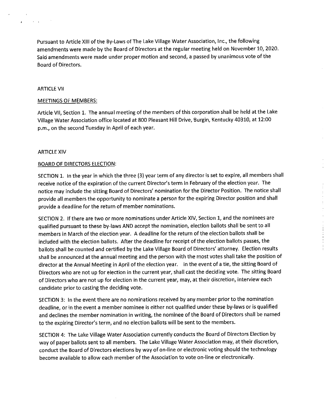Pursuant to Article XIII of the By-Laws of The Lake Village Water Association, Inc., the following amendments were made by the Board of Directors at the regular meeting held on November 10, 2020. Said amendments were made under proper motion and second, a passed by unanimous vote of the Board of Directors.

#### ARTICLE VII

 $\mathcal{L}^{\mathcal{L}}$  and  $\mathcal{L}^{\mathcal{L}}$  are  $\mathcal{L}^{\mathcal{L}}$  . In the  $\mathcal{L}^{\mathcal{L}}$ 

 $\mathbf{r}$ 

#### MEETINGS OF MEMBERS:

Article VII, Section 1. The annual meeting of the members of this corporation shall be held at the Lake Village Water Association office located at 800 Pleasant Hill Drive, Burgin, Kentucky 40310, at 12:00 p.m., on the second Tuesday in April of each year.

#### ARTICLE XIV

#### BOARD OF DIRECTORS ELECTION:

SECTION 1. In the year in which the three (3) year term of any director is set to expire, all members shall receive notice of the expiration of the current Director's term in February of the election year. The notice may include the sitting Board of Directors' nomination for the Director Position. The notice shall provide all members the opportunity to nominate a person for the expiring Director position and shall provide a deadline for the return of member nominations.

SECTION 2. If there are two or more nominations under Article XIV, Section 1, and the nominees are qualified pursuant to these by-laws AND accept the nomination, election ballots shall be sent to all members in March of the election year. A deadline for the return of the election ballots shall be included with the election ballots. After the deadline for receipt of the election ballots passes, the ballots shall be counted and certified by the Lake Village Board of Directors' attorney. Election results shall be announced at the annual meeting and the person with the most votes shall take the position of director at the Annual Meeting in April of the election year. In the event of a tie, the sitting Board of Directors who are not up for election in the current year, shall cast the deciding vote. The sitting Board of Directors who are not up for election in the current year, may, at their discretion, interview each candidate prior to casting the deciding vote.

SECTION 3: In the event there are no nominations received by any member prior to the nomination deadline, or in the event a member nominee is either not qualified under these by-laws or is qualified and declines the member nomination in writing, the nominee of the Board of Directors shall be named to the expiring Director's term, and no election ballots will be sent to the members.

SECTION 4: The Lake Village Water Association currently conducts the Board of Directors Election by way of paper ballots sent to all members. The Lake Village Water Association may, at their discretion, conduct the Board of Directors elections by way of on-line or electronic voting should the technology become available to allow each member of the Association to vote on-line or electronically.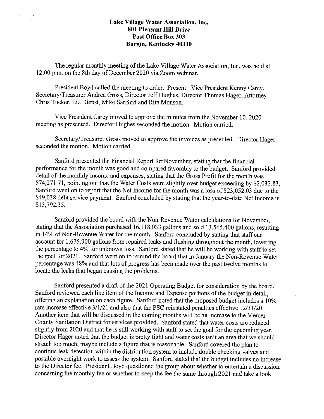The regular monthly meeting of the Lake Village Water Association, Inc. was held at 12:00 p.m. on the 8th day of December 2020 via Zoom webinar.

President Boyd called the meeting to order. Present: Vice President Kenny Carey, Secretary/Treasurer Andrea Gross, Director Jeff Hughes, Director Thomas Hager, Attorney Chris Tucker, Liz Dienst, Mike Sanford and Rita Monson.

Vice President Carey moved to approve the minutes from the November 10, 2020 meeting as presented. Director Hughes seconded the motion. Motion carried.

Secretary/Treasurer Gross moved to approve the invoices as presented. Director Hager seconded the motion. Motion carried.

Sanford presented the Financial Report for November, stating that the financial performance for the month was good and compared favorably to the budget. Sanford provided detail of the monthly income and expenses, stating that the Gross Profit for the month was \$74,271.71, pointing out that the Water Costs were slightly over budget exceeding by \$2,032.83. Sanford went on to report that the Net Income for the month was a loss of \$23,052.03 due to the \$49,038 debt service payment. Sanford concluded by stating that the year-to-date Net Income is \$13,792.35.

Sanford provided the board with the Non-Revenue Water calculations for November, stating that the Association purchased 16,118,033 gallons and sold 13,565,400 gallons, resulting in 14% of Non-Revenue Water for the month. Sanford concluded by stating that staff can account for 1,675,900 gallons from repaired leaks and flushing throughout the month, lowering the percentage to 4% for unknown loss. Sanford stated that he will be working with staff to set the goal for 2021. Sanford went on to remind the board that in January the Non-Revenue Water percentage was 48% and that lots of progress has been made over the past twelve months to locate the leaks that began causing the problems.

Sanford presented a draft of the 2021 Operating Budget for consideration by the board. Sanford reviewed each line item of the Income and Expense portions of the budget in detail, offering an explanation on each figure. Sanford noted that the proposed budget includes a 10% rate increase effective 3/1/21 and also that the PSC reinstated penalties effective 12/31/20. Another item that will be discussed in the coming months will be an increase to the Mercer County Sanitation District for services provided. Sanford stated that water costs are reduced slightly from 2020 and that he is still working with staff to set the goal for the upcoming year. Director Hager noted that the budget is pretty tight and water costs isn't an area that we should stretch too much, maybe include a figure that is reasonable. Sanford covered the plan to continue leak detection within the distribution system to include double checking valves and possible overnight work to assess the system. Sanford stated that the budget includes no increase to the Director fee. President Boyd questioned the group about whether to entertain a discussion concerning the monthly fee or whether to keep the fee the same through 2021 and talce a look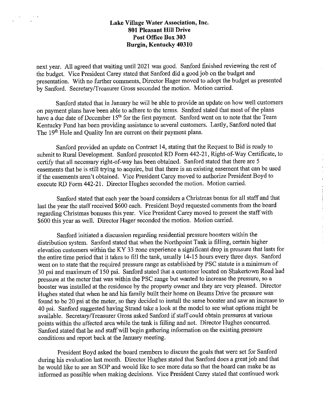next year. All agreed that waiting until 2021 was good. Sanford finished reviewing the rest of the budget. Vice President Carey stated that Sanford did a good job on the budget and presentation. With no further comments, Director Hager moved to adopt the budget as presented by Sanford. Secretary/Treasurer Gross seconded the motion. Motion carried.

Sanford stated that in January he will be able to provide an update on how well customers on payment plans have been able to adhere to the terms. Sanford stated that most of the plans have a due date of December 15<sup>th</sup> for the first payment. Sanford went on to note that the Team Kentucky Fund has been providing assistance to several customers. Lastly, Sanford noted that The 19<sup>th</sup> Hole and Quality Inn are current on their payment plans.

Sanford provided an update on Contract 14, stating that the Request to Bid is ready to submit to Rural Development. Sanford presented RD Form 442-21, Right-of-Way Certificate, to certify that all necessary right-of-way has been obtained. Sanford stated that there are 5 easements that he is still trying to acquire, but that there is an existing easement that can be used if the easements aren't obtained. Vice President Carey moved to authorize President Boyd to execute RD Form 442-21. Director Hughes seconded the motion. Motion carried.

Sanford stated that each year the board considers a Christmas bonus for all staff and that last the year the staff received \$600 each. President Boyd requested comments from the board regarding Christmas bonuses this year. Vice President Carey moved to present the staff with \$600 this year as well. Director Hager seconded the motion. Motion carried.

Sanford initiated a discussion regarding residential pressure boosters within the distribution system. Sanford stated that when the Northpoint Tank is filling, certain higher elevation customers within the KY 33 zone experience a significant drop in pressure that lasts for the entire time period that it takes to fill the tank, usually 14-15 hours every three days. Sanford went on to state that the required pressure range as established by PSC statute is a minimum of 30 psi and maximum of 150 psi. Sanford stated that a customer located on Shakertown Road had pressure at the meter that was within the PSC range but wanted to increase the pressure, so a booster was installed at the residence by the property owner and they are very pleased. Director Hughes stated that when he and his family built their home on Beams Drive the pressure was found to be 20 psi at the meter, so they decided to install the same booster and saw an increase to 40 psi. Sanford suggested having Strand take a look at the model to see what options might be available. Secretary/Treasurer Gross asked Sanford if staff could obtain pressures at various points within the affected area while the tank is filling and not. Director Hughes concurred. Sanford stated that he and staff will begin gathering information on the existing pressure conditions and report back at the January meeting.

President Boyd asked the board members to discuss the goals that were set for Sanford during his evaluation last month. Director Hughes stated that Sanford does a great job and that he would like to see an SOP and would like to see more data so that the board can make be as informed as possible when making decisions. Vice President Carey stated that continued work